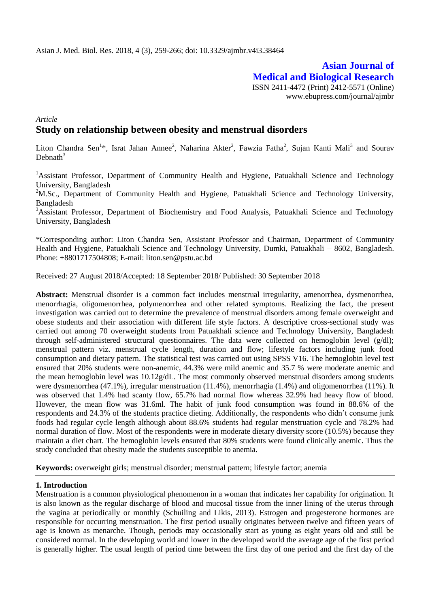# **Asian Journal of Medical and Biological Research** ISSN 2411-4472 (Print) 2412-5571 (Online)

www.ebupress.com/journal/ajmbr

# *Article* **Study on relationship between obesity and menstrual disorders**

Liton Chandra Sen<sup>1\*</sup>, Israt Jahan Annee<sup>2</sup>, Naharina Akter<sup>2</sup>, Fawzia Fatha<sup>2</sup>, Sujan Kanti Mali<sup>3</sup> and Sourav Debnath<sup>3</sup>

<sup>1</sup>Assistant Professor, Department of Community Health and Hygiene, Patuakhali Science and Technology University, Bangladesh

<sup>2</sup>M.Sc., Department of Community Health and Hygiene, Patuakhali Science and Technology University, Bangladesh

<sup>3</sup>Assistant Professor, Department of Biochemistry and Food Analysis, Patuakhali Science and Technology University, Bangladesh

\*Corresponding author: Liton Chandra Sen, Assistant Professor and Chairman, Department of Community Health and Hygiene, Patuakhali Science and Technology University, Dumki, Patuakhali – 8602, Bangladesh. Phone: +8801717504808; E-mail: [liton.sen@pstu.ac.bd](mailto:liton.sen@pstu.ac.bd)

Received: 27 August 2018/Accepted: 18 September 2018/ Published: 30 September 2018

**Abstract:** Menstrual disorder is a common fact includes menstrual irregularity, amenorrhea, dysmenorrhea, menorrhagia, oligomenorrhea, polymenorrhea and other related symptoms. Realizing the fact, the present investigation was carried out to determine the prevalence of menstrual disorders among female overweight and obese students and their association with different life style factors. A descriptive cross-sectional study was carried out among 70 overweight students from Patuakhali science and Technology University, Bangladesh through self-administered structural questionnaires. The data were collected on hemoglobin level (g/dl); menstrual pattern viz. menstrual cycle length, duration and flow; lifestyle factors including junk food consumption and dietary pattern. The statistical test was carried out using SPSS V16. The hemoglobin level test ensured that 20% students were non-anemic, 44.3% were mild anemic and 35.7 % were moderate anemic and the mean hemoglobin level was  $10.12g/dL$ . The most commonly observed menstrual disorders among students were dysmenorrhea (47.1%), irregular menstruation (11.4%), menorrhagia (1.4%) and oligomenorrhea (11%). It was observed that 1.4% had scanty flow, 65.7% had normal flow whereas 32.9% had heavy flow of blood. However, the mean flow was 31.6ml. The habit of junk food consumption was found in 88.6% of the respondents and 24.3% of the students practice dieting. Additionally, the respondents who didn't consume junk foods had regular cycle length although about 88.6% students had regular menstruation cycle and 78.2% had normal duration of flow. Most of the respondents were in moderate dietary diversity score (10.5%) because they maintain a diet chart. The hemoglobin levels ensured that 80% students were found clinically anemic. Thus the study concluded that obesity made the students susceptible to anemia.

**Keywords:** overweight girls; menstrual disorder; menstrual pattern; lifestyle factor; anemia

## **1. Introduction**

Menstruation is a common physiological phenomenon in a woman that indicates her capability for origination. It is also known as the regular discharge of blood and mucosal tissue from the inner lining of the uterus through the vagina at periodically or monthly (Schuiling and Likis, 2013). Estrogen and progesterone hormones are responsible for occurring menstruation. The first period usually originates between twelve and fifteen years of age is known as menarche. Though, periods may occasionally start as young as eight years old and still be considered normal. In the developing world and lower in the developed world the average age of the first period is generally higher. The usual length of period time between the first day of one period and the first day of the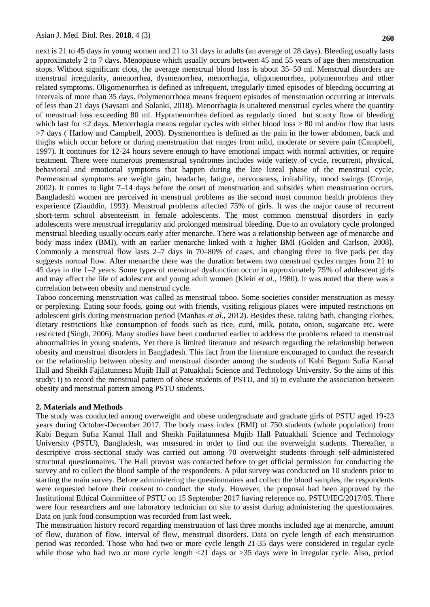next is 21 to 45 days in young women and 21 to 31 days in adults (an average of 28 days). Bleeding usually lasts approximately 2 to 7 days. Menopause which usually occurs between 45 and 55 years of age then menstruation stops. Without significant clots, the average menstrual blood loss is about 35–50 ml. Menstrual disorders are menstrual irregularity, amenorrhea, dysmenorrhea, menorrhagia, oligomenorrhea, polymenorrhea and other related symptoms. Oligomenorrhea is defined as infrequent, irregularly timed episodes of bleeding occurring at intervals of more than 35 days. Polymenorrhoea means frequent episodes of menstruation occurring at intervals of less than 21 days (Savsani and Solanki, 2018). Menorrhagia is unaltered menstrual cycles where the quantity of menstrual loss exceeding 80 ml. Hypomenorrhea defined as regularly timed but scanty flow of bleeding which last for  $\langle 2 \rangle$  days. Menorrhagia means regular cycles with either blood loss  $> 80$  ml and/or flow that lasts >7 days ( Harlow and Campbell, 2003). Dysmenorrhea is defined as the pain in the lower abdomen, back and thighs which occur before or during menstruation that ranges from mild, moderate or severe pain (Campbell, 1997). It continues for 12-24 hours severe enough to have emotional impact with normal activities, or require treatment. There were numerous premenstrual syndromes includes wide variety of cycle, recurrent, physical, behavioral and emotional symptoms that happen during the late luteal phase of the menstrual cycle. Premenstrual symptoms are weight gain, headache, fatigue, nervousness, irritability, mood swings (Cronje, 2002). It comes to light 7–14 days before the onset of menstruation and subsides when menstruation occurs. Bangladeshi women are perceived in menstrual problems as the second most common health problems they experience (Ziauddin, 1993). Menstrual problems affected 75% of girls. It was the major cause of recurrent short-term school absenteeism in female adolescents. The most common menstrual disorders in early adolescents were menstrual irregularity and prolonged menstrual bleeding. Due to an ovulatory cycle prolonged menstrual bleeding usually occurs early after menarche. There was a relationship between age of menarche and body mass index (BMI), with an earlier menarche linked with a higher BMI (Golden and Carlson, 2008). Commonly a menstrual flow lasts 2–7 days in 70–80% of cases, and changing three to five pads per day suggests normal flow. After menarche there was the duration between two menstrual cycles ranges from 21 to 45 days in the 1–2 years. Some types of menstrual dysfunction occur in approximately 75% of adolescent girls and may affect the life of adolescent and young adult women (Klein *et al.,* 1980). It was noted that there was a correlation between obesity and menstrual cycle.

Taboo concerning menstruation was called as menstrual taboo. Some societies consider menstruation as messy or perplexing. Eating sour foods, going out with friends, visiting religious places were imputed restrictions on adolescent girls during menstruation period (Manhas *et al*., 2012). Besides these, taking bath, changing clothes, dietary restrictions like consumption of foods such as rice, curd, milk, potato, onion, sugarcane etc. were restricted (Singh, 2006). Many studies have been conducted earlier to address the problems related to menstrual abnormalities in young students. Yet there is limited literature and research regarding the relationship between obesity and menstrual disorders in Bangladesh. This fact from the literature encouraged to conduct the research on the relationship between obesity and menstrual disorder among the students of Kabi Begum Sufia Kamal Hall and Sheikh Fajilatunnesa Mujib Hall at Patuakhali Science and Technology University. So the aims of this study: i) to record the menstrual pattern of obese students of PSTU, and ii) to evaluate the association between obesity and menstrual pattern among PSTU students.

### **2. Materials and Methods**

The study was conducted among overweight and obese undergraduate and graduate girls of PSTU aged 19-23 years during October-December 2017. The body mass index (BMI) of 750 students (whole population) from Kabi Begum Sufia Kamal Hall and Sheikh Fajilatunnesa Mujib Hall Patuakhali Science and Technology University (PSTU), Bangladesh, was measured in order to find out the overweight students. Thereafter, a descriptive cross-sectional study was carried out among 70 overweight students through self-administered structural questionnaires. The Hall provost was contacted before to get official permission for conducting the survey and to collect the blood sample of the respondents. A pilot survey was conducted on 10 students prior to starting the main survey. Before administering the questionnaires and collect the blood samples, the respondents were requested before their consent to conduct the study. However, the proposal had been approved by the Institutional Ethical Committee of PSTU on 15 September 2017 having reference no. PSTU/IEC/2017/05. There were four researchers and one laboratory technician on site to assist during administering the questionnaires. Data on junk food consumption was recorded from last week.

The menstruation history record regarding menstruation of last three months included age at menarche, amount of flow, duration of flow, interval of flow, menstrual disorders. Data on cycle length of each menstruation period was recorded. Those who had two or more cycle length 21-35 days were considered in regular cycle while those who had two or more cycle length <21 days or >35 days were in irregular cycle. Also, period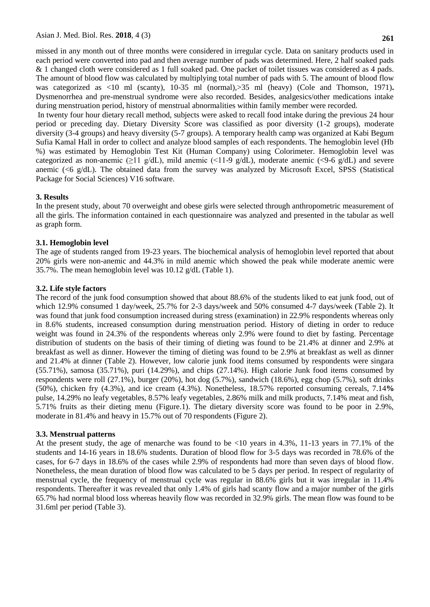missed in any month out of three months were considered in irregular cycle. Data on sanitary products used in each period were converted into pad and then average number of pads was determined. Here, 2 half soaked pads & 1 changed cloth were considered as 1 full soaked pad. One packet of toilet tissues was considered as 4 pads. The amount of blood flow was calculated by multiplying total number of pads with 5. The amount of blood flow was categorized as  $\langle 10 \text{ ml} \rangle$  (scanty), 10-35 ml (normal),  $\langle 35 \text{ ml} \rangle$  (heavy) (Cole and Thomson, 1971). Dysmenorrhea and pre-menstrual syndrome were also recorded. Besides, analgesics/other medications intake during menstruation period, history of menstrual abnormalities within family member were recorded.

In twenty four hour dietary recall method, subjects were asked to recall food intake during the previous 24 hour period or preceding day. Dietary Diversity Score was classified as poor diversity (1-2 groups), moderate diversity (3-4 groups) and heavy diversity (5-7 groups). A temporary health camp was organized at Kabi Begum Sufia Kamal Hall in order to collect and analyze blood samples of each respondents. The hemoglobin level (Hb %) was estimated by Hemoglobin Test Kit (Human Company) using Colorimeter. Hemoglobin level was categorized as non-anemic ( $\geq$ 11 g/dL), mild anemic (<11-9 g/dL), moderate anemic (<9-6 g/dL) and severe anemic (<6 g/dL). The obtained data from the survey was analyzed by Microsoft Excel, SPSS (Statistical Package for Social Sciences) V16 software.

## **3. Results**

In the present study, about 70 overweight and obese girls were selected through anthropometric measurement of all the girls. The information contained in each questionnaire was analyzed and presented in the tabular as well as graph form.

# **3.1. Hemoglobin level**

The age of students ranged from 19-23 years. The biochemical analysis of hemoglobin level reported that about 20% girls were non-anemic and 44.3% in mild anemic which showed the peak while moderate anemic were 35.7%. The mean hemoglobin level was 10.12 g/dL (Table 1).

# **3.2. Life style factors**

The record of the junk food consumption showed that about 88.6% of the students liked to eat junk food, out of which 12.9% consumed 1 day/week, 25.7% for 2-3 days/week and 50% consumed 4-7 days/week (Table 2). It was found that junk food consumption increased during stress (examination) in 22.9% respondents whereas only in 8.6% students, increased consumption during menstruation period. History of dieting in order to reduce weight was found in 24.3% of the respondents whereas only 2.9% were found to diet by fasting. Percentage distribution of students on the basis of their timing of dieting was found to be 21.4% at dinner and 2.9% at breakfast as well as dinner. However the timing of dieting was found to be 2.9% at breakfast as well as dinner and 21.4% at dinner (Table 2). However, low calorie junk food items consumed by respondents were singara (55.71%), samosa (35.71%), puri (14.29%), and chips (27.14%). High calorie Junk food items consumed by respondents were roll (27.1%), burger (20%), hot dog (5.7%), sandwich (18.6%), egg chop (5.7%), soft drinks (50%), chicken fry (4.3%), and ice cream (4.3%). Nonetheless, 18.57% reported consuming cereals, 7.14**%**  pulse, 14.29% no leafy vegetables, 8.57% leafy vegetables, 2.86% milk and milk products, 7.14% meat and fish, 5.71% fruits as their dieting menu (Figure.1). The dietary diversity score was found to be poor in 2.9%, moderate in 81.4% and heavy in 15.7% out of 70 respondents (Figure 2).

## **3.3. Menstrual patterns**

At the present study, the age of menarche was found to be <10 years in 4.3%, 11-13 years in 77.1% of the students and 14-16 years in 18.6% students. Duration of blood flow for 3-5 days was recorded in 78.6% of the cases, for 6-7 days in 18.6% of the cases while 2.9% of respondents had more than seven days of blood flow. Nonetheless, the mean duration of blood flow was calculated to be 5 days per period. In respect of regularity of menstrual cycle, the frequency of menstrual cycle was regular in 88.6% girls but it was irregular in 11.4% respondents. Thereafter it was revealed that only 1.4% of girls had scanty flow and a major number of the girls 65.7% had normal blood loss whereas heavily flow was recorded in 32.9% girls. The mean flow was found to be 31.6ml per period (Table 3).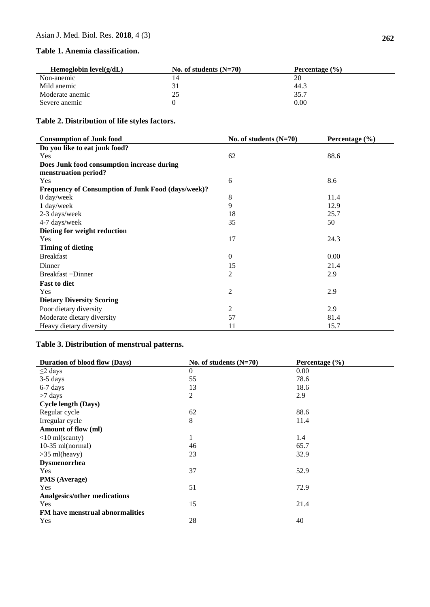# **Table 1. Anemia classification.**

| Hemoglobin $level(g/dL)$ | No. of students $(N=70)$ | Percentage $(\% )$ |  |
|--------------------------|--------------------------|--------------------|--|
| Non-anemic               |                          | 20                 |  |
| Mild anemic              |                          | 44.3               |  |
| Moderate anemic          |                          | 35.7               |  |
| Severe anemic            |                          | 0.00               |  |

# **Table 2. Distribution of life styles factors.**

| <b>Consumption of Junk food</b>                    | No. of students $(N=70)$ | Percentage $(\% )$ |
|----------------------------------------------------|--------------------------|--------------------|
| Do you like to eat junk food?                      |                          |                    |
| Yes                                                | 62                       | 88.6               |
| Does Junk food consumption increase during         |                          |                    |
| menstruation period?                               |                          |                    |
| Yes                                                | 6                        | 8.6                |
| Frequency of Consumption of Junk Food (days/week)? |                          |                    |
| $0$ day/week                                       | 8                        | 11.4               |
| 1 day/week                                         | 9                        | 12.9               |
| 2-3 days/week                                      | 18                       | 25.7               |
| 4-7 days/week                                      | 35                       | 50                 |
| Dieting for weight reduction                       |                          |                    |
| Yes                                                | 17                       | 24.3               |
| <b>Timing of dieting</b>                           |                          |                    |
| <b>Breakfast</b>                                   | $\boldsymbol{0}$         | 0.00               |
| Dinner                                             | 15                       | 21.4               |
| Breakfast +Dinner                                  | 2                        | 2.9                |
| <b>Fast to diet</b>                                |                          |                    |
| <b>Yes</b>                                         | $\overline{c}$           | 2.9                |
| <b>Dietary Diversity Scoring</b>                   |                          |                    |
| Poor dietary diversity                             | 2                        | 2.9                |
| Moderate dietary diversity                         | 57                       | 81.4               |
| Heavy dietary diversity                            | 11                       | 15.7               |

# **Table 3. Distribution of menstrual patterns.**

| Duration of blood flow (Days)       | No. of students $(N=70)$ | Percentage $(\% )$ |
|-------------------------------------|--------------------------|--------------------|
| $\leq$ 2 days                       | $\boldsymbol{0}$         | 0.00               |
| $3-5$ days                          | 55                       | 78.6               |
| $6-7$ days                          | 13                       | 18.6               |
| $>7$ days                           | $\overline{2}$           | 2.9                |
| <b>Cycle length (Days)</b>          |                          |                    |
| Regular cycle                       | 62                       | 88.6               |
| Irregular cycle                     | $\,8\,$                  | 11.4               |
| Amount of flow (ml)                 |                          |                    |
| $<$ 10 ml(scanty)                   | $\mathbf{1}$             | 1.4                |
| $10-35$ ml(normal)                  | 46                       | 65.7               |
| $>35$ ml(heavy)                     | 23                       | 32.9               |
| Dysmenorrhea                        |                          |                    |
| Yes                                 | 37                       | 52.9               |
| PMS (Average)                       |                          |                    |
| Yes                                 | 51                       | 72.9               |
| <b>Analgesics/other medications</b> |                          |                    |
| Yes                                 | 15                       | 21.4               |
| FM have menstrual abnormalities     |                          |                    |
| Yes                                 | 28                       | 40                 |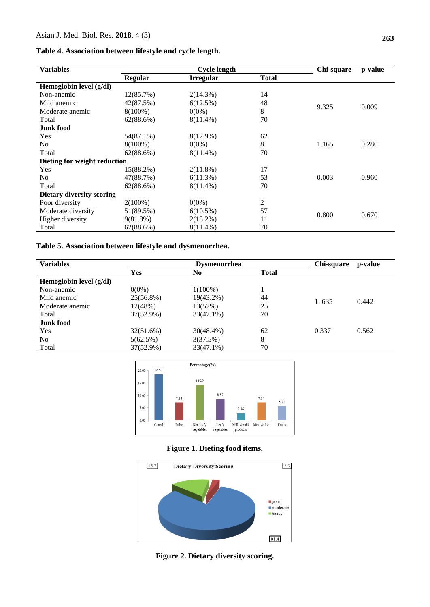## **Table 4. Association between lifestyle and cycle length.**

| <b>Variables</b>             |            | <b>Cycle length</b> |              | Chi-square                       | p-value |
|------------------------------|------------|---------------------|--------------|----------------------------------|---------|
|                              | Regular    | <b>Irregular</b>    | <b>Total</b> |                                  |         |
| Hemoglobin level (g/dl)      |            |                     |              |                                  |         |
| Non-anemic                   | 12(85.7%)  | $2(14.3\%)$         | 14           |                                  |         |
| Mild anemic                  | 42(87.5%)  | 6(12.5%)            | 48           | 9.325<br>1.165<br>0.003<br>0.800 |         |
| Moderate anemic              | $8(100\%)$ | $0(0\%)$            | 8            |                                  | 0.009   |
| Total                        | 62(88.6%)  | $8(11.4\%)$         | 70           |                                  |         |
| <b>Junk food</b>             |            |                     |              |                                  |         |
| Yes                          | 54(87.1%)  | $8(12.9\%)$         | 62           |                                  |         |
| N <sub>0</sub>               | $8(100\%)$ | $0(0\%)$            | 8            |                                  | 0.280   |
| Total                        | 62(88.6%)  | $8(11.4\%)$         | 70           |                                  |         |
| Dieting for weight reduction |            |                     |              |                                  |         |
| Yes                          | 15(88.2%)  | $2(11.8\%)$         | 17           |                                  |         |
| N <sub>o</sub>               | 47(88.7%)  | $6(11.3\%)$         | 53           |                                  | 0.960   |
| Total                        | 62(88.6%)  | $8(11.4\%)$         | 70           |                                  |         |
| Dietary diversity scoring    |            |                     |              |                                  |         |
| Poor diversity               | $2(100\%)$ | $0(0\%)$            | 2            |                                  |         |
| Moderate diversity           | 51(89.5%)  | $6(10.5\%)$         | 57           |                                  |         |
| Higher diversity             | 9(81.8%)   | 2(18.2%)            | 11           |                                  | 0.670   |
| Total                        | 62(88.6%)  | $8(11.4\%)$         | 70           |                                  |         |

# **Table 5. Association between lifestyle and dysmenorrhea.**

| <b>Variables</b>        |            | <b>Dysmenorrhea</b> |              | Chi-square | p-value |
|-------------------------|------------|---------------------|--------------|------------|---------|
|                         | <b>Yes</b> | No                  | <b>Total</b> |            |         |
| Hemoglobin level (g/dl) |            |                     |              |            |         |
| Non-anemic              | $0(0\%)$   | $1(100\%)$          |              | 1.635      | 0.442   |
| Mild anemic             | 25(56.8%)  | 19(43.2%)           | 44           |            |         |
| Moderate anemic         | 12(48%)    | 13(52%)             | 25           |            |         |
| Total                   | 37(52.9%)  | 33(47.1%)           | 70           |            |         |
| Junk food               |            |                     |              |            |         |
| Yes                     | 32(51.6%)  | $30(48.4\%)$        | 62           | 0.337      | 0.562   |
| No.                     | 5(62.5%)   | 3(37.5%)            | 8            |            |         |
| Total                   | 37(52.9%)  | $33(47.1\%)$        | 70           |            |         |



# **Figure 1. Dieting food items.**



**Figure 2. Dietary diversity scoring.**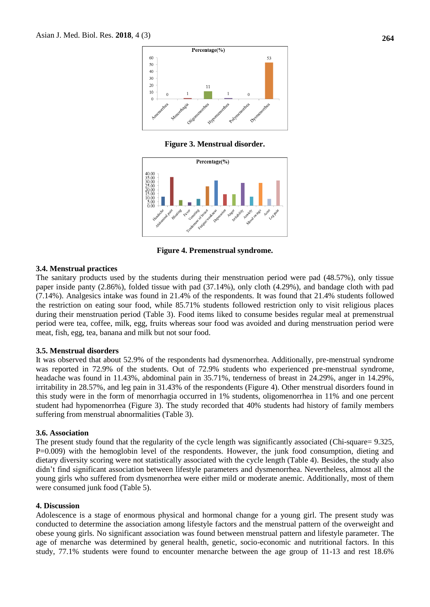

**Figure 3. Menstrual disorder.**



**Figure 4. Premenstrual syndrome.**

#### **3.4. Menstrual practices**

The sanitary products used by the students during their menstruation period were pad (48.57%), only tissue paper inside panty (2.86%), folded tissue with pad (37.14%), only cloth (4.29%), and bandage cloth with pad (7.14%). Analgesics intake was found in 21.4% of the respondents. It was found that 21.4% students followed the restriction on eating sour food, while 85.71% students followed restriction only to visit religious places during their menstruation period (Table 3). Food items liked to consume besides regular meal at premenstrual period were tea, coffee, milk, egg, fruits whereas sour food was avoided and during menstruation period were meat, fish, egg, tea, banana and milk but not sour food.

#### **3.5. Menstrual disorders**

It was observed that about 52.9% of the respondents had dysmenorrhea. Additionally, pre-menstrual syndrome was reported in 72.9% of the students. Out of 72.9% students who experienced pre-menstrual syndrome, headache was found in 11.43%, abdominal pain in 35.71%, tenderness of breast in 24.29%, anger in 14.29%, irritability in 28.57%, and leg pain in 31.43% of the respondents (Figure 4). Other menstrual disorders found in this study were in the form of menorrhagia occurred in 1% students, oligomenorrhea in 11% and one percent student had hypomenorrhea (Figure 3). The study recorded that 40% students had history of family members suffering from menstrual abnormalities (Table 3).

#### **3.6. Association**

The present study found that the regularity of the cycle length was significantly associated (Chi-square= 9.325, P=0.009) with the hemoglobin level of the respondents. However, the junk food consumption, dieting and dietary diversity scoring were not statistically associated with the cycle length (Table 4). Besides, the study also didn't find significant association between lifestyle parameters and dysmenorrhea. Nevertheless, almost all the young girls who suffered from dysmenorrhea were either mild or moderate anemic. Additionally, most of them were consumed junk food (Table 5).

### **4. Discussion**

Adolescence is a stage of enormous physical and hormonal change for a young girl. The present study was conducted to determine the association among lifestyle factors and the menstrual pattern of the overweight and obese young girls. No significant association was found between menstrual pattern and lifestyle parameter. The age of menarche was determined by general health, genetic, socio-economic and nutritional factors. In this study, 77.1% students were found to encounter menarche between the age group of 11-13 and rest 18.6%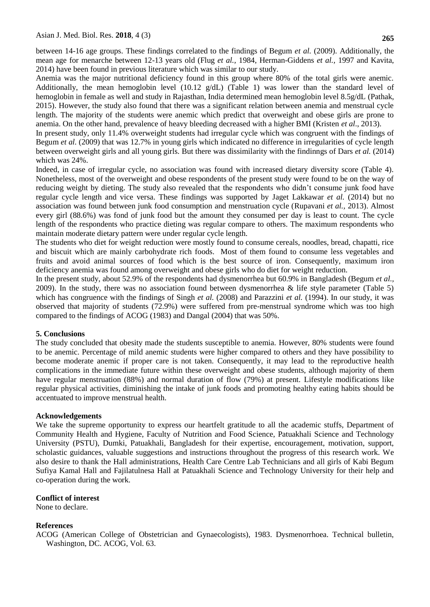between 14-16 age groups. These findings correlated to the findings of Begum *et al.* (2009). Additionally, the mean age for menarche between 12-13 years old (Flug *et al.,* 1984, Herman-Giddens *et al.,* 1997 and Kavita, 2014) have been found in previous literature which was similar to our study.

Anemia was the major nutritional deficiency found in this group where 80% of the total girls were anemic. Additionally, the mean hemoglobin level (10.12 g/dL) (Table 1) was lower than the standard level of hemoglobin in female as well and study in Rajasthan, India determined mean hemoglobin level 8.5g/dL (Pathak, 2015). However, the study also found that there was a significant relation between anemia and menstrual cycle length. The majority of the students were anemic which predict that overweight and obese girls are prone to anemia. On the other hand, prevalence of heavy bleeding decreased with a higher BMI (Kristen *et al*., 2013).

In present study, only 11.4% overweight students had irregular cycle which was congruent with the findings of Begum *et al.* (2009) that was 12.7% in young girls which indicated no difference in irregularities of cycle length between overweight girls and all young girls. But there was dissimilarity with the findinngs of Dars *et al.* (2014) which was 24%.

Indeed, in case of irregular cycle, no association was found with increased dietary diversity score (Table 4). Nonetheless, most of the overweight and obese respondents of the present study were found to be on the way of reducing weight by dieting. The study also revealed that the respondents who didn't consume junk food have regular cycle length and vice versa. These findings was supported by Jaget Lakkawar *et al.* (2014) but no association was found between junk food consumption and menstruation cycle (Rupavani *et al.,* 2013). Almost every girl (88.6%) was fond of junk food but the amount they consumed per day is least to count. The cycle length of the respondents who practice dieting was regular compare to others. The maximum respondents who maintain moderate dietary pattern were under regular cycle length.

The students who diet for weight reduction were mostly found to consume cereals, noodles, bread, chapatti, rice and biscuit which are mainly carbohydrate rich foods. Most of them found to consume less vegetables and fruits and avoid animal sources of food which is the best source of iron. Consequently, maximum iron deficiency anemia was found among overweight and obese girls who do diet for weight reduction.

In the present study, about 52.9% of the respondents had dysmenorrhea but 60.9% in Bangladesh (Begum *et al.,*  2009). In the study, there was no association found between dysmenorrhea & life style parameter (Table 5) which has congruence with the findings of Singh *et al.* (2008) and Parazzini *et al.* (1994). In our study, it was observed that majority of students (72.9%) were suffered from pre-menstrual syndrome which was too high compared to the findings of ACOG (1983) and Dangal (2004) that was 50%.

## **5. Conclusions**

The study concluded that obesity made the students susceptible to anemia. However, 80% students were found to be anemic. Percentage of mild anemic students were higher compared to others and they have possibility to become moderate anemic if proper care is not taken. Consequently, it may lead to the reproductive health complications in the immediate future within these overweight and obese students, although majority of them have regular menstruation (88%) and normal duration of flow (79%) at present. Lifestyle modifications like regular physical activities, diminishing the intake of junk foods and promoting healthy eating habits should be accentuated to improve menstrual health.

### **Acknowledgements**

We take the supreme opportunity to express our heartfelt gratitude to all the academic stuffs, Department of Community Health and Hygiene, Faculty of Nutrition and Food Science, Patuakhali Science and Technology University (PSTU), Dumki, Patuakhali, Bangladesh for their expertise, encouragement, motivation, support, scholastic guidances, valuable suggestions and instructions throughout the progress of this research work. We also desire to thank the Hall administrations, Health Care Centre Lab Technicians and all girls of Kabi Begum Sufiya Kamal Hall and Fajilatulnesa Hall at Patuakhali Science and Technology University for their help and co-operation during the work.

## **Conflict of interest**

None to declare.

## **References**

ACOG (American College of Obstetrician and Gynaecologists), 1983. Dysmenorrhoea. Technical bulletin, Washington, DC. ACOG, Vol. 63.